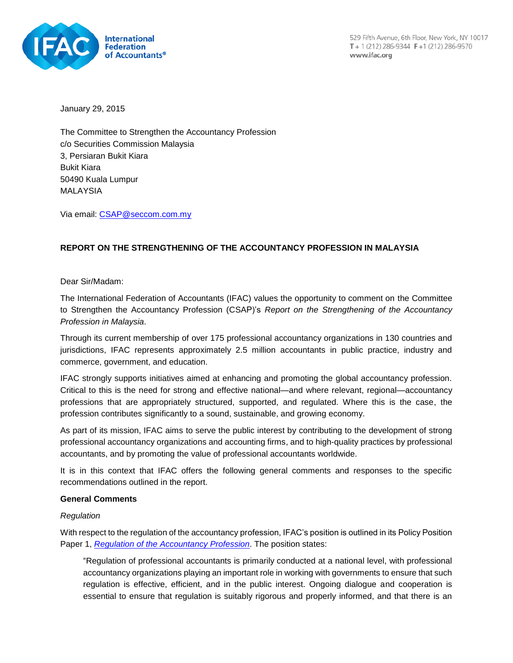

529 Fifth Avenue, 6th Floor, New York, NY 10017 T + 1 (212) 286-9344  $F + 1$  (212) 286-9570 www.ifac.org

January 29, 2015

The Committee to Strengthen the Accountancy Profession c/o Securities Commission Malaysia 3, Persiaran Bukit Kiara Bukit Kiara 50490 Kuala Lumpur MALAYSIA

Via email: [CSAP@seccom.com.my](mailto:CSAP@seccom.com.my)

# **REPORT ON THE STRENGTHENING OF THE ACCOUNTANCY PROFESSION IN MALAYSIA**

Dear Sir/Madam:

The International Federation of Accountants (IFAC) values the opportunity to comment on the Committee to Strengthen the Accountancy Profession (CSAP)'s *Report on the Strengthening of the Accountancy Profession in Malaysia*.

Through its current membership of over 175 professional accountancy organizations in 130 countries and jurisdictions, IFAC represents approximately 2.5 million accountants in public practice, industry and commerce, government, and education.

IFAC strongly supports initiatives aimed at enhancing and promoting the global accountancy profession. Critical to this is the need for strong and effective national—and where relevant, regional—accountancy professions that are appropriately structured, supported, and regulated. Where this is the case, the profession contributes significantly to a sound, sustainable, and growing economy.

As part of its mission, IFAC aims to serve the public interest by contributing to the development of strong professional accountancy organizations and accounting firms, and to high-quality practices by professional accountants, and by promoting the value of professional accountants worldwide.

It is in this context that IFAC offers the following general comments and responses to the specific recommendations outlined in the report.

### **General Comments**

# *Regulation*

With respect to the regulation of the accountancy profession, IFAC's position is outlined in its Policy Position Paper 1, *[Regulation of the Accountancy Profession](http://www.ifac.org/publications-resources/regulation-accountancy-profession-1)*. The position states:

"Regulation of professional accountants is primarily conducted at a national level, with professional accountancy organizations playing an important role in working with governments to ensure that such regulation is effective, efficient, and in the public interest. Ongoing dialogue and cooperation is essential to ensure that regulation is suitably rigorous and properly informed, and that there is an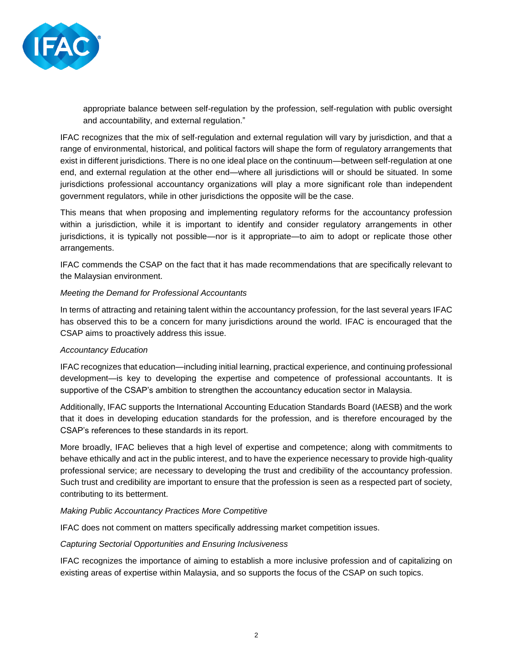

appropriate balance between self-regulation by the profession, self-regulation with public oversight and accountability, and external regulation."

IFAC recognizes that the mix of self-regulation and external regulation will vary by jurisdiction, and that a range of environmental, historical, and political factors will shape the form of regulatory arrangements that exist in different jurisdictions. There is no one ideal place on the continuum—between self-regulation at one end, and external regulation at the other end—where all jurisdictions will or should be situated. In some jurisdictions professional accountancy organizations will play a more significant role than independent government regulators, while in other jurisdictions the opposite will be the case.

This means that when proposing and implementing regulatory reforms for the accountancy profession within a jurisdiction, while it is important to identify and consider regulatory arrangements in other jurisdictions, it is typically not possible—nor is it appropriate—to aim to adopt or replicate those other arrangements.

IFAC commends the CSAP on the fact that it has made recommendations that are specifically relevant to the Malaysian environment.

### *Meeting the Demand for Professional Accountants*

In terms of attracting and retaining talent within the accountancy profession, for the last several years IFAC has observed this to be a concern for many jurisdictions around the world. IFAC is encouraged that the CSAP aims to proactively address this issue.

### *Accountancy Education*

IFAC recognizes that education—including initial learning, practical experience, and continuing professional development—is key to developing the expertise and competence of professional accountants. It is supportive of the CSAP's ambition to strengthen the accountancy education sector in Malaysia.

Additionally, IFAC supports the International Accounting Education Standards Board (IAESB) and the work that it does in developing education standards for the profession, and is therefore encouraged by the CSAP's references to these standards in its report.

More broadly, IFAC believes that a high level of expertise and competence; along with commitments to behave ethically and act in the public interest, and to have the experience necessary to provide high-quality professional service; are necessary to developing the trust and credibility of the accountancy profession. Such trust and credibility are important to ensure that the profession is seen as a respected part of society, contributing to its betterment.

### *Making Public Accountancy Practices More Competitive*

IFAC does not comment on matters specifically addressing market competition issues.

### *Capturing Sectorial* O*pportunities and Ensuring Inclusiveness*

IFAC recognizes the importance of aiming to establish a more inclusive profession and of capitalizing on existing areas of expertise within Malaysia, and so supports the focus of the CSAP on such topics.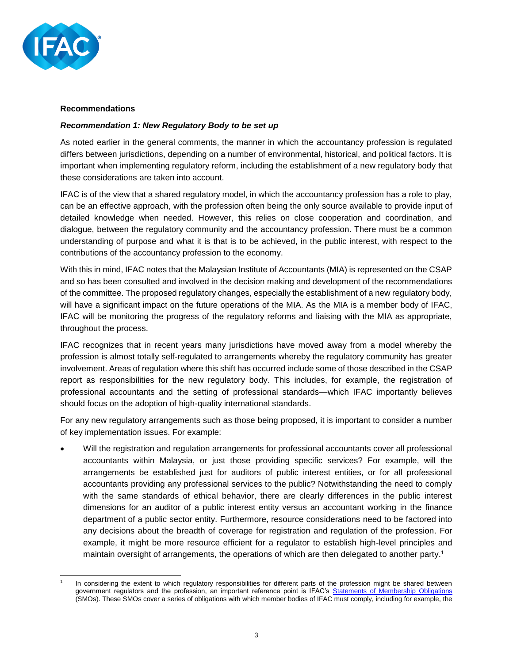

### **Recommendations**

### *Recommendation 1: New Regulatory Body to be set up*

As noted earlier in the general comments, the manner in which the accountancy profession is regulated differs between jurisdictions, depending on a number of environmental, historical, and political factors. It is important when implementing regulatory reform, including the establishment of a new regulatory body that these considerations are taken into account.

IFAC is of the view that a shared regulatory model, in which the accountancy profession has a role to play, can be an effective approach, with the profession often being the only source available to provide input of detailed knowledge when needed. However, this relies on close cooperation and coordination, and dialogue, between the regulatory community and the accountancy profession. There must be a common understanding of purpose and what it is that is to be achieved, in the public interest, with respect to the contributions of the accountancy profession to the economy.

With this in mind, IFAC notes that the Malaysian Institute of Accountants (MIA) is represented on the CSAP and so has been consulted and involved in the decision making and development of the recommendations of the committee. The proposed regulatory changes, especially the establishment of a new regulatory body, will have a significant impact on the future operations of the MIA. As the MIA is a member body of IFAC, IFAC will be monitoring the progress of the regulatory reforms and liaising with the MIA as appropriate, throughout the process.

IFAC recognizes that in recent years many jurisdictions have moved away from a model whereby the profession is almost totally self-regulated to arrangements whereby the regulatory community has greater involvement. Areas of regulation where this shift has occurred include some of those described in the CSAP report as responsibilities for the new regulatory body. This includes, for example, the registration of professional accountants and the setting of professional standards—which IFAC importantly believes should focus on the adoption of high-quality international standards.

For any new regulatory arrangements such as those being proposed, it is important to consider a number of key implementation issues. For example:

 Will the registration and regulation arrangements for professional accountants cover all professional accountants within Malaysia, or just those providing specific services? For example, will the arrangements be established just for auditors of public interest entities, or for all professional accountants providing any professional services to the public? Notwithstanding the need to comply with the same standards of ethical behavior, there are clearly differences in the public interest dimensions for an auditor of a public interest entity versus an accountant working in the finance department of a public sector entity. Furthermore, resource considerations need to be factored into any decisions about the breadth of coverage for registration and regulation of the profession. For example, it might be more resource efficient for a regulator to establish high-level principles and maintain oversight of arrangements, the operations of which are then delegated to another party. 1

l 1 In considering the extent to which regulatory responsibilities for different parts of the profession might be shared between government regulators and the profession, an important reference point is IFAC's [Statements of Membership Obligations](http://www.ifac.org/publications-resources/statements-membership-obligations-smos-1-7-revised) (SMOs). These SMOs cover a series of obligations with which member bodies of IFAC must comply, including for example, the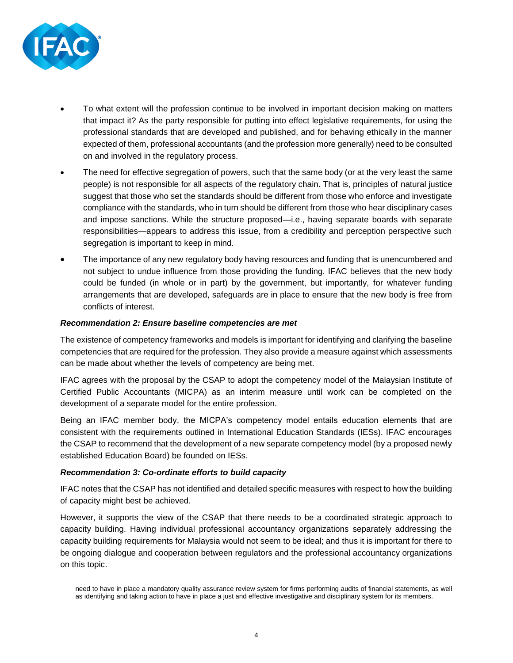

l

- To what extent will the profession continue to be involved in important decision making on matters that impact it? As the party responsible for putting into effect legislative requirements, for using the professional standards that are developed and published, and for behaving ethically in the manner expected of them, professional accountants (and the profession more generally) need to be consulted on and involved in the regulatory process.
- The need for effective segregation of powers, such that the same body (or at the very least the same people) is not responsible for all aspects of the regulatory chain. That is, principles of natural justice suggest that those who set the standards should be different from those who enforce and investigate compliance with the standards, who in turn should be different from those who hear disciplinary cases and impose sanctions. While the structure proposed—i.e., having separate boards with separate responsibilities—appears to address this issue, from a credibility and perception perspective such segregation is important to keep in mind.
- The importance of any new regulatory body having resources and funding that is unencumbered and not subject to undue influence from those providing the funding. IFAC believes that the new body could be funded (in whole or in part) by the government, but importantly, for whatever funding arrangements that are developed, safeguards are in place to ensure that the new body is free from conflicts of interest.

# *Recommendation 2: Ensure baseline competencies are met*

The existence of competency frameworks and models is important for identifying and clarifying the baseline competencies that are required for the profession. They also provide a measure against which assessments can be made about whether the levels of competency are being met.

IFAC agrees with the proposal by the CSAP to adopt the competency model of the Malaysian Institute of Certified Public Accountants (MICPA) as an interim measure until work can be completed on the development of a separate model for the entire profession.

Being an IFAC member body, the MICPA's competency model entails education elements that are consistent with the requirements outlined in International Education Standards (IESs). IFAC encourages the CSAP to recommend that the development of a new separate competency model (by a proposed newly established Education Board) be founded on IESs.

### *Recommendation 3: Co-ordinate efforts to build capacity*

IFAC notes that the CSAP has not identified and detailed specific measures with respect to how the building of capacity might best be achieved.

However, it supports the view of the CSAP that there needs to be a coordinated strategic approach to capacity building. Having individual professional accountancy organizations separately addressing the capacity building requirements for Malaysia would not seem to be ideal; and thus it is important for there to be ongoing dialogue and cooperation between regulators and the professional accountancy organizations on this topic.

need to have in place a mandatory quality assurance review system for firms performing audits of financial statements, as well as identifying and taking action to have in place a just and effective investigative and disciplinary system for its members.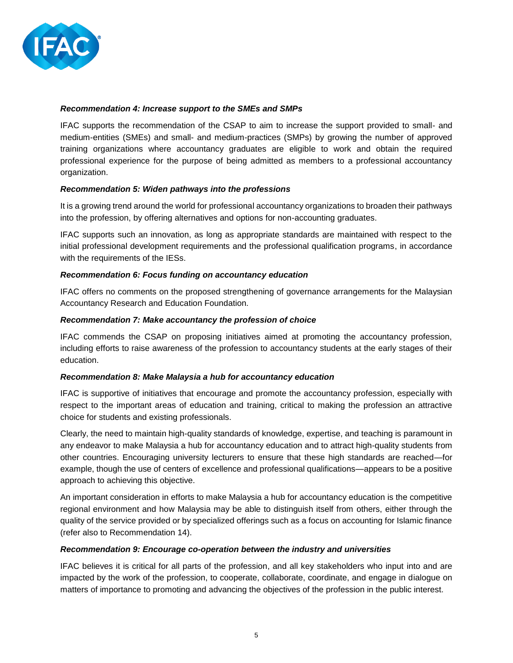

### *Recommendation 4: Increase support to the SMEs and SMPs*

IFAC supports the recommendation of the CSAP to aim to increase the support provided to small- and medium-entities (SMEs) and small- and medium-practices (SMPs) by growing the number of approved training organizations where accountancy graduates are eligible to work and obtain the required professional experience for the purpose of being admitted as members to a professional accountancy organization.

# *Recommendation 5: Widen pathways into the professions*

It is a growing trend around the world for professional accountancy organizations to broaden their pathways into the profession, by offering alternatives and options for non-accounting graduates.

IFAC supports such an innovation, as long as appropriate standards are maintained with respect to the initial professional development requirements and the professional qualification programs, in accordance with the requirements of the IESs.

### *Recommendation 6: Focus funding on accountancy education*

IFAC offers no comments on the proposed strengthening of governance arrangements for the Malaysian Accountancy Research and Education Foundation.

### *Recommendation 7: Make accountancy the profession of choice*

IFAC commends the CSAP on proposing initiatives aimed at promoting the accountancy profession, including efforts to raise awareness of the profession to accountancy students at the early stages of their education.

### *Recommendation 8: Make Malaysia a hub for accountancy education*

IFAC is supportive of initiatives that encourage and promote the accountancy profession, especially with respect to the important areas of education and training, critical to making the profession an attractive choice for students and existing professionals.

Clearly, the need to maintain high-quality standards of knowledge, expertise, and teaching is paramount in any endeavor to make Malaysia a hub for accountancy education and to attract high-quality students from other countries. Encouraging university lecturers to ensure that these high standards are reached—for example, though the use of centers of excellence and professional qualifications—appears to be a positive approach to achieving this objective.

An important consideration in efforts to make Malaysia a hub for accountancy education is the competitive regional environment and how Malaysia may be able to distinguish itself from others, either through the quality of the service provided or by specialized offerings such as a focus on accounting for Islamic finance (refer also to Recommendation 14).

### *Recommendation 9: Encourage co-operation between the industry and universities*

IFAC believes it is critical for all parts of the profession, and all key stakeholders who input into and are impacted by the work of the profession, to cooperate, collaborate, coordinate, and engage in dialogue on matters of importance to promoting and advancing the objectives of the profession in the public interest.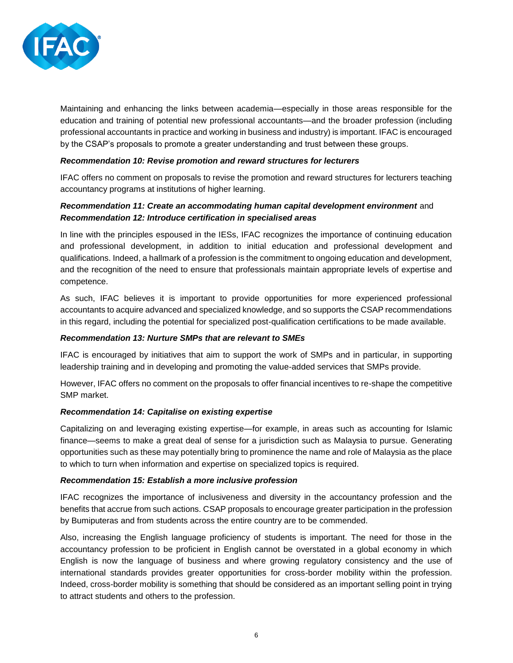

Maintaining and enhancing the links between academia—especially in those areas responsible for the education and training of potential new professional accountants—and the broader profession (including professional accountants in practice and working in business and industry) is important. IFAC is encouraged by the CSAP's proposals to promote a greater understanding and trust between these groups.

# *Recommendation 10: Revise promotion and reward structures for lecturers*

IFAC offers no comment on proposals to revise the promotion and reward structures for lecturers teaching accountancy programs at institutions of higher learning.

# *Recommendation 11: Create an accommodating human capital development environment* and *Recommendation 12: Introduce certification in specialised areas*

In line with the principles espoused in the IESs, IFAC recognizes the importance of continuing education and professional development, in addition to initial education and professional development and qualifications. Indeed, a hallmark of a profession is the commitment to ongoing education and development, and the recognition of the need to ensure that professionals maintain appropriate levels of expertise and competence.

As such, IFAC believes it is important to provide opportunities for more experienced professional accountants to acquire advanced and specialized knowledge, and so supports the CSAP recommendations in this regard, including the potential for specialized post-qualification certifications to be made available.

### *Recommendation 13: Nurture SMPs that are relevant to SMEs*

IFAC is encouraged by initiatives that aim to support the work of SMPs and in particular, in supporting leadership training and in developing and promoting the value-added services that SMPs provide.

However, IFAC offers no comment on the proposals to offer financial incentives to re-shape the competitive SMP market.

### *Recommendation 14: Capitalise on existing expertise*

Capitalizing on and leveraging existing expertise—for example, in areas such as accounting for Islamic finance—seems to make a great deal of sense for a jurisdiction such as Malaysia to pursue. Generating opportunities such as these may potentially bring to prominence the name and role of Malaysia as the place to which to turn when information and expertise on specialized topics is required.

### *Recommendation 15: Establish a more inclusive profession*

IFAC recognizes the importance of inclusiveness and diversity in the accountancy profession and the benefits that accrue from such actions. CSAP proposals to encourage greater participation in the profession by Bumiputeras and from students across the entire country are to be commended.

Also, increasing the English language proficiency of students is important. The need for those in the accountancy profession to be proficient in English cannot be overstated in a global economy in which English is now the language of business and where growing regulatory consistency and the use of international standards provides greater opportunities for cross-border mobility within the profession. Indeed, cross-border mobility is something that should be considered as an important selling point in trying to attract students and others to the profession.